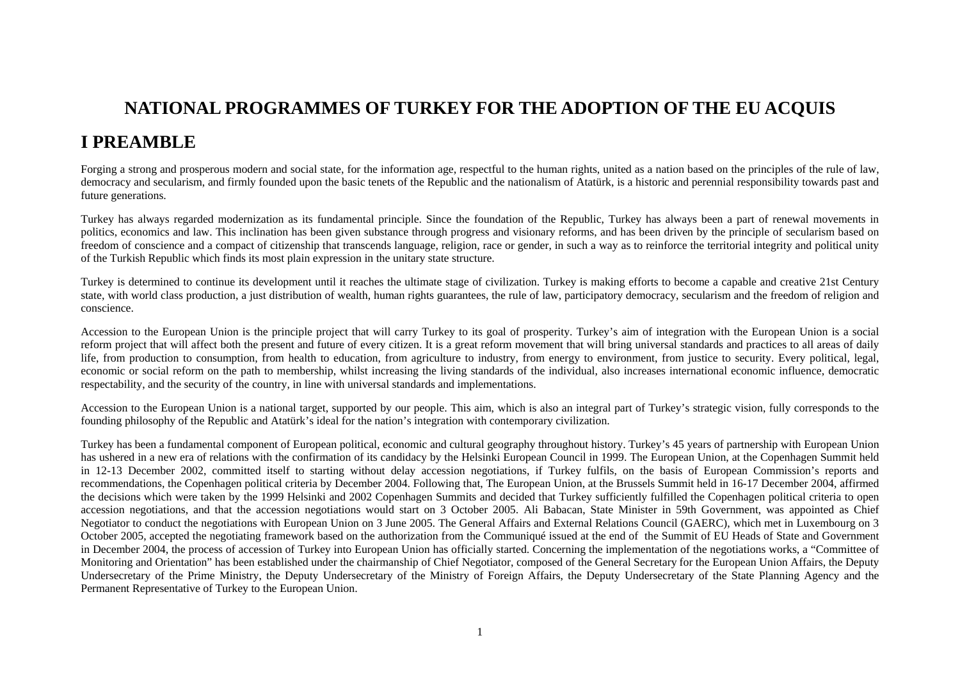## **NATIONAL PROGRAMMES OF TURKEY FOR THE ADOPTION OF THE EU ACQUIS**

## **I PREAMBLE**

Forging a strong and prosperous modern and social state, for the information age, respectful to the human rights, united as a nation based on the principles of the rule of law, democracy and secularism, and firmly founded upon the basic tenets of the Republic and the nationalism of Atatürk, is a historic and perennial responsibility towards past and future generations.

Turkey has always regarded modernization as its fundamental principle. Since the foundation of the Republic, Turkey has always been a part of renewal movements in politics, economics and law. This inclination has been given substance through progress and visionary reforms, and has been driven by the principle of secularism based on freedom of conscience and a compact of citizenship that transcends language, religion, race or gender, in such a way as to reinforce the territorial integrity and political unity of the Turkish Republic which finds its most plain expression in the unitary state structure.

Turkey is determined to continue its development until it reaches the ultimate stage of civilization. Turkey is making efforts to become a capable and creative 21st Century state, with world class production, a just distribution of wealth, human rights guarantees, the rule of law, participatory democracy, secularism and the freedom of religion and conscience.

Accession to the European Union is the principle project that will carry Turkey to its goal of prosperity. Turkey's aim of integration with the European Union is a social reform project that will affect both the present and future of every citizen. It is a great reform movement that will bring universal standards and practices to all areas of daily life, from production to consumption, from health to education, from agriculture to industry, from energy to environment, from justice to security. Every political, legal, economic or social reform on the path to membership, whilst increasing the living standards of the individual, also increases international economic influence, democratic respectability, and the security of the country, in line with universal standards and implementations.

Accession to the European Union is a national target, supported by our people. This aim, which is also an integral part of Turkey's strategic vision, fully corresponds to the founding philosophy of the Republic and Atatürk's ideal for the nation's integration with contemporary civilization.

Turkey has been a fundamental component of European political, economic and cultural geography throughout history. Turkey's 45 years of partnership with European Union has ushered in a new era of relations with the confirmation of its candidacy by the Helsinki European Council in 1999. The European Union, at the Copenhagen Summit held in 12-13 December 2002, committed itself to starting without delay accession negotiations, if Turkey fulfils, on the basis of European Commission's reports and recommendations, the Copenhagen political criteria by December 2004. Following that, The European Union, at the Brussels Summit held in 16-17 December 2004, affirmed the decisions which were taken by the 1999 Helsinki and 2002 Copenhagen Summits and decided that Turkey sufficiently fulfilled the Copenhagen political criteria to open accession negotiations, and that the accession negotiations would start on 3 October 2005. Ali Babacan, State Minister in 59th Government, was appointed as Chief Negotiator to conduct the negotiations with European Union on 3 June 2005. The General Affairs and External Relations Council (GAERC), which met in Luxembourg on 3 October 2005, accepted the negotiating framework based on the authorization from the Communiqué issued at the end of the Summit of EU Heads of State and Government in December 2004, the process of accession of Turkey into European Union has officially started. Concerning the implementation of the negotiations works, a "Committee of Monitoring and Orientation" has been established under the chairmanship of Chief Negotiator, composed of the General Secretary for the European Union Affairs, the Deputy Undersecretary of the Prime Ministry, the Deputy Undersecretary of the Ministry of Foreign Affairs, the Deputy Undersecretary of the State Planning Agency and the Permanent Representative of Turkey to the European Union.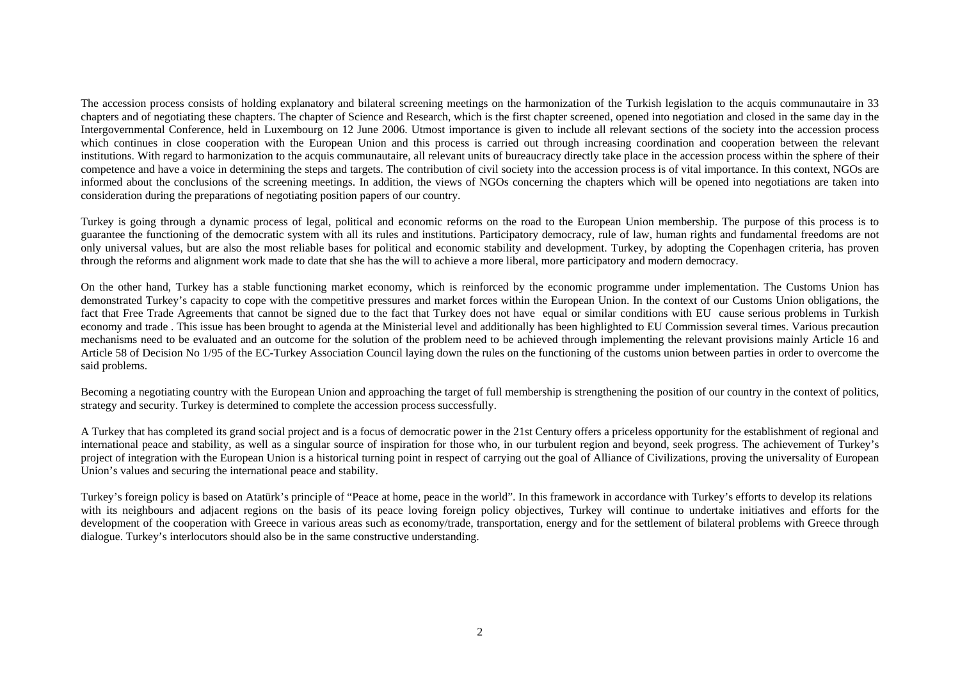The accession process consists of holding explanatory and bilateral screening meetings on the harmonization of the Turkish legislation to the acquis communautaire in 33 chapters and of negotiating these chapters. The chapter of Science and Research, which is the first chapter screened, opened into negotiation and closed in the same day in the Intergovernmental Conference, held in Luxembourg on 12 June 2006. Utmost importance is given to include all relevant sections of the society into the accession process which continues in close cooperation with the European Union and this process is carried out through increasing coordination and cooperation between the relevant institutions. With regard to harmonization to the acquis communautaire, all relevant units of bureaucracy directly take place in the accession process within the sphere of their competence and have a voice in determining the steps and targets. The contribution of civil society into the accession process is of vital importance. In this context, NGOs are informed about the conclusions of the screening meetings. In addition, the views of NGOs concerning the chapters which will be opened into negotiations are taken into consideration during the preparations of negotiating position papers of our country.

Turkey is going through a dynamic process of legal, political and economic reforms on the road to the European Union membership. The purpose of this process is to guarantee the functioning of the democratic system with all its rules and institutions. Participatory democracy, rule of law, human rights and fundamental freedoms are not only universal values, but are also the most reliable bases for political and economic stability and development. Turkey, by adopting the Copenhagen criteria, has proven through the reforms and alignment work made to date that she has the will to achieve a more liberal, more participatory and modern democracy.

On the other hand, Turkey has a stable functioning market economy, which is reinforced by the economic programme under implementation. The Customs Union has demonstrated Turkey's capacity to cope with the competitive pressures and market forces within the European Union. In the context of our Customs Union obligations, the fact that Free Trade Agreements that cannot be signed due to the fact that Turkey does not have equal or similar conditions with EU cause serious problems in Turkish economy and trade . This issue has been brought to agenda at the Ministerial level and additionally has been highlighted to EU Commission several times. Various precaution mechanisms need to be evaluated and an outcome for the solution of the problem need to be achieved through implementing the relevant provisions mainly Article 16 and Article 58 of Decision No 1/95 of the EC-Turkey Association Council laying down the rules on the functioning of the customs union between parties in order to overcome the said problems.

Becoming a negotiating country with the European Union and approaching the target of full membership is strengthening the position of our country in the context of politics, strategy and security. Turkey is determined to complete the accession process successfully.

A Turkey that has completed its grand social project and is a focus of democratic power in the 21st Century offers a priceless opportunity for the establishment of regional and international peace and stability, as well as a singular source of inspiration for those who, in our turbulent region and beyond, seek progress. The achievement of Turkey's project of integration with the European Union is a historical turning point in respect of carrying out the goal of Alliance of Civilizations, proving the universality of European Union's values and securing the international peace and stability.

Turkey's foreign policy is based on Atatürk's principle of "Peace at home, peace in the world". In this framework in accordance with Turkey's efforts to develop its relations with its neighbours and adjacent regions on the basis of its peace loving foreign policy objectives. Turkey will continue to undertake initiatives and efforts for the development of the cooperation with Greece in various areas such as economy/trade, transportation, energy and for the settlement of bilateral problems with Greece through dialogue. Turkey's interlocutors should also be in the same constructive understanding.